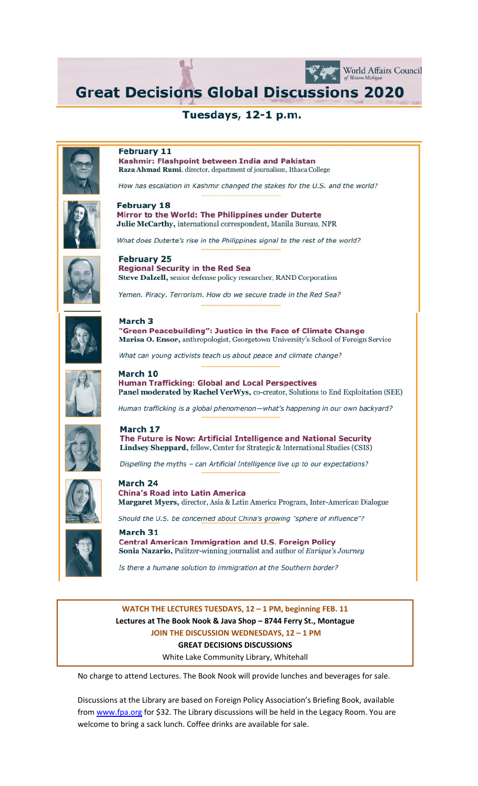**Great Decisions Global Discussions 2020** 

World Affairs Council

Tuesdays, 12-1 p.m.



#### **February 11**

Kashmir: Flashpoint between India and Pakistan Raza Ahmad Rumi, director, department of journalism, Ithaca College

How has escalation in Kashmir changed the stakes for the U.S. and the world?



#### **February 18** Mirror to the World: The Philippines under Duterte Julie McCarthy, international correspondent, Manila Bureau, NPR

What does Duterte's rise in the Philippines signal to the rest of the world?



**February 25 Regional Security in the Red Sea** Steve Dalzell, senior defense policy researcher, RAND Corporation

Yemen. Piracy. Terrorism. How do we secure trade in the Red Sea?



### March 3

"Green Peacebuilding": Justice in the Face of Climate Change Marisa O. Ensor, anthropologist, Georgetown University's School of Foreign Service

What can young activists teach us about peace and climate change?



March 10 **Human Trafficking: Global and Local Perspectives** Panel moderated by Rachel VerWys, co-creator, Solutions to End Exploitation (SEE)

Human trafficking is a global phenomenon-what's happening in our own backyard?



March 17 The Future is Now: Artificial Intelligence and National Security Lindsey Sheppard, fellow, Center for Strategic & International Studies (CSIS)

Dispelling the myths - can Artificial Intelligence live up to our expectations?



March 24 **China's Road into Latin America** Margaret Myers, director, Asia & Latin America Program, Inter-American Dialogue

Should the U.S. be concerned about China's growing "sphere of influence"?



March 31 **Central American Immigration and U.S. Foreign Policy** Sonia Nazario, Pulitzer-winning journalist and author of Enrique's Journey

Is there a humane solution to immigration at the Southern border?

# WATCH THE LECTURES TUESDAYS, 12 - 1 PM, beginning FEB. 11 Lectures at The Book Nook & Java Shop - 8744 Ferry St., Montague JOIN THE DISCUSSION WEDNESDAYS, 12 - 1 PM **GREAT DECISIONS DISCUSSIONS**

White Lake Community Library, Whitehall

No charge to attend Lectures. The Book Nook will provide lunches and beverages for sale.

Discussions at the Library are based on Foreign Policy Association's Briefing Book, available from www.fpa.org for \$32. The Library discussions will be held in the Legacy Room. You are welcome to bring a sack lunch. Coffee drinks are available for sale.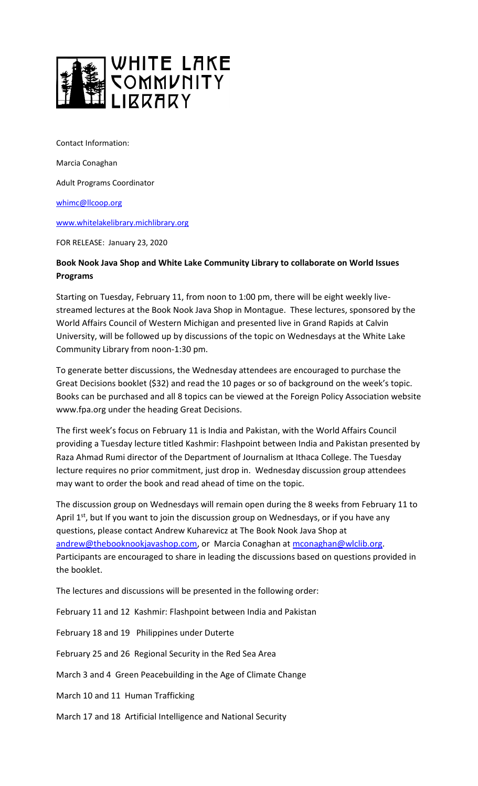

Contact Information:

Marcia Conaghan

Adult Programs Coordinator

[whimc@llcoop.org](mailto:whimc@llcoop.org)

[www.whitelakelibrary.michlibrary.org](http://www.whitelakelibrary.michlibrary.org/)

FOR RELEASE: January 23, 2020

## **Book Nook Java Shop and White Lake Community Library to collaborate on World Issues Programs**

Starting on Tuesday, February 11, from noon to 1:00 pm, there will be eight weekly livestreamed lectures at the Book Nook Java Shop in Montague. These lectures, sponsored by the World Affairs Council of Western Michigan and presented live in Grand Rapids at Calvin University, will be followed up by discussions of the topic on Wednesdays at the White Lake Community Library from noon-1:30 pm.

To generate better discussions, the Wednesday attendees are encouraged to purchase the Great Decisions booklet (\$32) and read the 10 pages or so of background on the week's topic. Books can be purchased and all 8 topics can be viewed at the Foreign Policy Association website www.fpa.org under the heading Great Decisions.

The first week's focus on February 11 is India and Pakistan, with the World Affairs Council providing a Tuesday lecture titled Kashmir: Flashpoint between India and Pakistan presented by Raza Ahmad Rumi director of the Department of Journalism at Ithaca College. The Tuesday lecture requires no prior commitment, just drop in. Wednesday discussion group attendees may want to order the book and read ahead of time on the topic.

The discussion group on Wednesdays will remain open during the 8 weeks from February 11 to April  $1<sup>st</sup>$ , but If you want to join the discussion group on Wednesdays, or if you have any questions, please contact Andrew Kuharevicz at The Book Nook Java Shop at [andrew@thebooknookjavashop.com,](mailto:andrew@thebooknookjavashop.com) or Marcia Conaghan at [mconaghan@wlclib.org.](mailto:mconaghan@wlclib.org) Participants are encouraged to share in leading the discussions based on questions provided in the booklet.

The lectures and discussions will be presented in the following order:

February 11 and 12 Kashmir: Flashpoint between India and Pakistan

February 18 and 19 Philippines under Duterte

February 25 and 26 Regional Security in the Red Sea Area

March 3 and 4 Green Peacebuilding in the Age of Climate Change

March 10 and 11 Human Trafficking

March 17 and 18 Artificial Intelligence and National Security